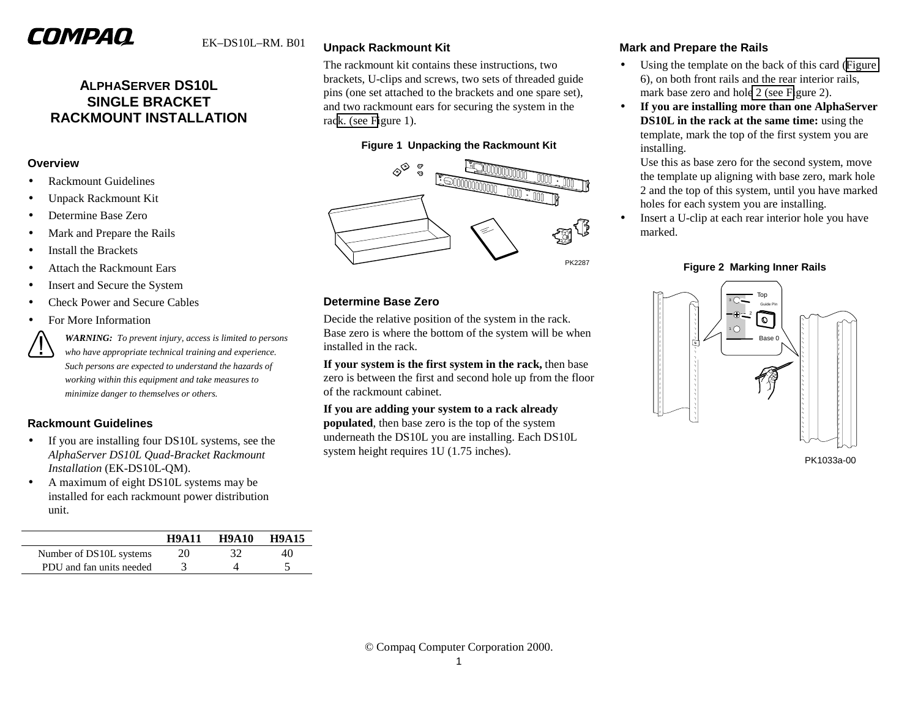# COMPAQ

# **ALPHASERVER DS10L SINGLE BRACKET RACKMOUNT INSTALLATION**

#### **Overview**

- •Rackmount Guidelines
- •Unpack Rackmount Kit
- •Determine Base Zero
- •Mark and Prepare the Rails
- •Install the Brackets
- •Attach the Rackmount Ears
- •Insert and Secure the System
- •Check Power and Secure Cables
- •For More Information

*WARNING: To prevent injury, access is limited to persons who have appropriate technical training and experience. Such persons are expected to understand the hazards of working within this equipment and take measures to minimize danger to themselves or others.*

## **Rackmount Guidelines**

- • If you are installing four DS10L systems, see the *AlphaServer DS10L Quad-Bracket Rackmount Installation* (EK-DS10L-QM).
- • A maximum of eight DS10L systems may be installed for each rackmount power distribution unit.

|                          | <b>H9A11</b> | <b>H9A10</b> | <b>H9A15</b> |
|--------------------------|--------------|--------------|--------------|
| Number of DS10L systems  | 20           | 32           | 40           |
| PDU and fan units needed |              |              |              |

# **Unpack Rackmount Kit**

The rackmount kit contains these instructions, two brackets, U-clips and screws, two sets of threaded guide pins (one set attached to the brackets and one spare set), and two rackmount ears for securing the system in the rack. (see Figure 1).

#### **Figure 1 Unpacking the Rackmount Kit**



#### **Determine Base Zero**

Decide the relative position of the system in the rack. Base zero is where the bottom of the system will be when installed in the rack.

**If your system is the first system in the rack,** then base zero is between the first and second hole up from the floor of the rackmount cabinet.

**If you are adding your system to a rack already populated**, then base zero is the top of the system underneath the DS10L you are installing. Each DS10L system height requires 1U (1.75 inches).

### **Mark and Prepare the Rails**

- • Using the template on the back of this card ([Figure](#page-2-0) 6), on both front rails and the rear interior rails, mark base zero and hole 2 (see Figure 2).
- • **If you are installing more than one AlphaServer DS10L in the rack at the same time:** using the template, mark the top of the first system you are installing.

Use this as base zero for the second system, move the template up aligning with base zero, mark hole 2 and the top of this system, until you have marked holes for each system you are installing.

• Insert a U-clip at each rear interior hole you have marked.

#### **Figure 2 Marking Inner Rails**

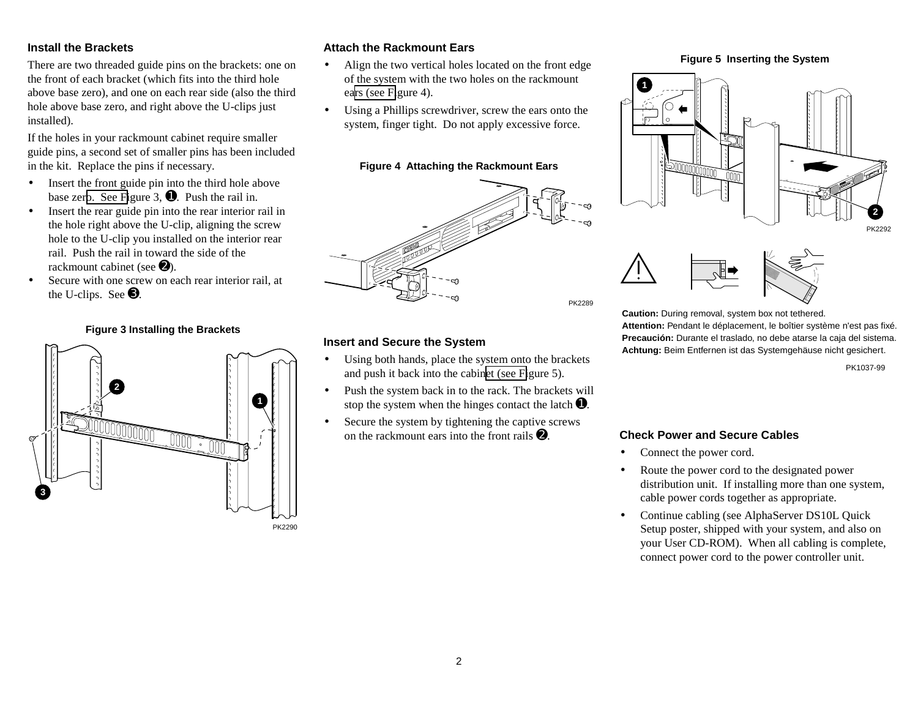#### **Install the Brackets**

There are two threaded guide pins on the brackets: one on the front of each bracket (which fits into the third hole above base zero), and one on each rear side (also the third hole above base zero, and right above the U-clips just installed).

If the holes in your rackmount cabinet require smaller guide pins, a second set of smaller pins has been included in the kit. Replace the pins if necessary.

- $\bullet$  Insert the front guide pin into the third hole above base zero. See Figure 3,  $\bullet$ . Push the rail in.
- $\bullet$  Insert the rear guide pin into the rear interior rail in the hole right above the U-clip, aligning the screw hole to the U-clip you installed on the interior rear rail. Push the rail in toward the side of the rackmount cabinet (see  $\bullet$ ).
- • Secure with one screw on each rear interior rail, at the U-clips. See ➌.

#### **Figure 3 Installing the Brackets**



#### **Attach the Rackmount Ears**

- • Align the two vertical holes located on the front edge of the system with the two holes on the rackmount ears (see Figure 4).
- • Using a Phillips screwdriver, screw the ears onto the system, finger tight. Do not apply excessive force.

#### **Figure 4 Attaching the Rackmount Ears**



#### **Insert and Secure the System**

- • Using both hands, place the system onto the brackets and push it back into the cabinet (see Figure 5).
- • Push the system back in to the rack. The brackets will stop the system when the hinges contact the latch  $\mathbf{0}$ .
- • Secure the system by tightening the captive screws on the rackmount ears into the front rails  $\mathbf{\Theta}$ .

#### **Figure 5 Inserting the System**



PK2292



**Caution:** During removal, system box not tethered. **Attention:** Pendant le déplacement, le boîtier système n'est pas fixé. **Precaución:** Durante el traslado, no debe atarse la caja del sistema. **Achtung:** Beim Entfernen ist das Systemgehäuse nicht gesichert.

PK1037-99

#### **Check Power and Secure Cables**

- •Connect the power cord.
- • Route the power cord to the designated power distribution unit. If installing more than one system, cable power cords together as appropriate.
- • Continue cabling (see AlphaServer DS10L Quick Setup poster, shipped with your system, and also on your User CD-ROM). When all cabling is complete, connect power cord to the power controller unit.